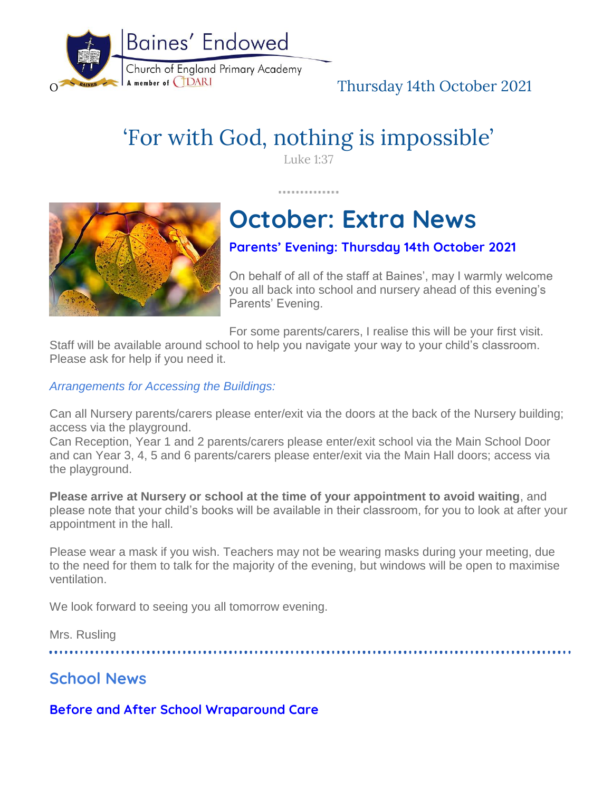

# 'For with God, nothing is impossible'

Luke 1:37

..............



# **October: Extra News**

## **Parents' Evening: Thursday 14th October 2021**

On behalf of all of the staff at Baines', may I warmly welcome you all back into school and nursery ahead of this evening's Parents' Evening.

For some parents/carers, I realise this will be your first visit.

Staff will be available around school to help you navigate your way to your child's classroom. Please ask for help if you need it.

*Arrangements for Accessing the Buildings:*

Can all Nursery parents/carers please enter/exit via the doors at the back of the Nursery building; access via the playground.

Can Reception, Year 1 and 2 parents/carers please enter/exit school via the Main School Door and can Year 3, 4, 5 and 6 parents/carers please enter/exit via the Main Hall doors; access via the playground.

**Please arrive at Nursery or school at the time of your appointment to avoid waiting**, and please note that your child's books will be available in their classroom, for you to look at after your appointment in the hall.

Please wear a mask if you wish. Teachers may not be wearing masks during your meeting, due to the need for them to talk for the majority of the evening, but windows will be open to maximise ventilation.

We look forward to seeing you all tomorrow evening.

Mrs. Rusling

# **School News**

## **Before and After School Wraparound Care**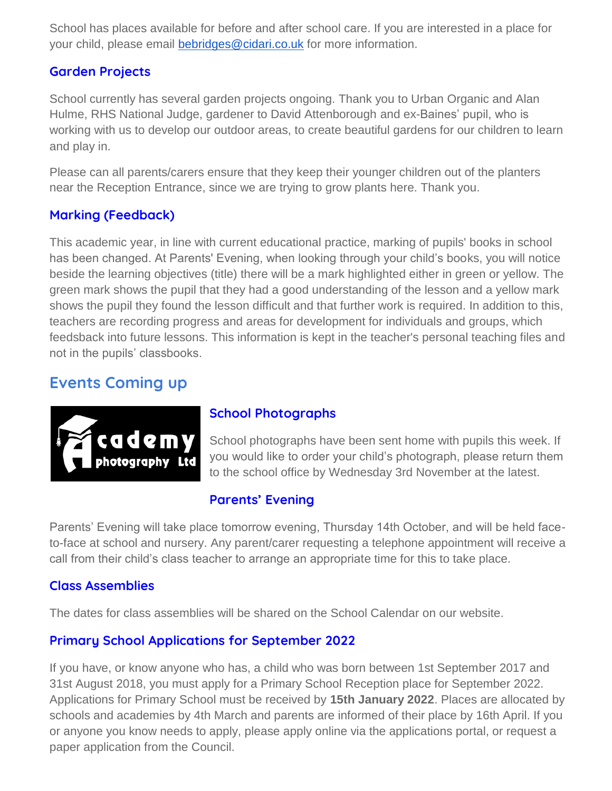School has places available for before and after school care. If you are interested in a place for your child, please email [bebridges@cidari.co.uk](mailto:bebridges@cidari.co.uk) for more information.

#### **Garden Projects**

School currently has several garden projects ongoing. Thank you to Urban Organic and Alan Hulme, RHS National Judge, gardener to David Attenborough and ex-Baines' pupil, who is working with us to develop our outdoor areas, to create beautiful gardens for our children to learn and play in.

Please can all parents/carers ensure that they keep their younger children out of the planters near the Reception Entrance, since we are trying to grow plants here. Thank you.

#### **Marking (Feedback)**

This academic year, in line with current educational practice, marking of pupils' books in school has been changed. At Parents' Evening, when looking through your child's books, you will notice beside the learning objectives (title) there will be a mark highlighted either in green or yellow. The green mark shows the pupil that they had a good understanding of the lesson and a yellow mark shows the pupil they found the lesson difficult and that further work is required. In addition to this, teachers are recording progress and areas for development for individuals and groups, which feedsback into future lessons. This information is kept in the teacher's personal teaching files and not in the pupils' classbooks.

# **Events Coming up**



#### **School Photographs**

School photographs have been sent home with pupils this week. If you would like to order your child's photograph, please return them to the school office by Wednesday 3rd November at the latest.

#### **Parents' Evening**

Parents' Evening will take place tomorrow evening, Thursday 14th October, and will be held faceto-face at school and nursery. Any parent/carer requesting a telephone appointment will receive a call from their child's class teacher to arrange an appropriate time for this to take place.

#### **Class Assemblies**

The dates for class assemblies will be shared on the School Calendar on our website.

## **Primary School Applications for September 2022**

If you have, or know anyone who has, a child who was born between 1st September 2017 and 31st August 2018, you must apply for a Primary School Reception place for September 2022. Applications for Primary School must be received by **15th January 2022**. Places are allocated by schools and academies by 4th March and parents are informed of their place by 16th April. If you or anyone you know needs to apply, please apply online via the applications portal, or request a paper application from the Council.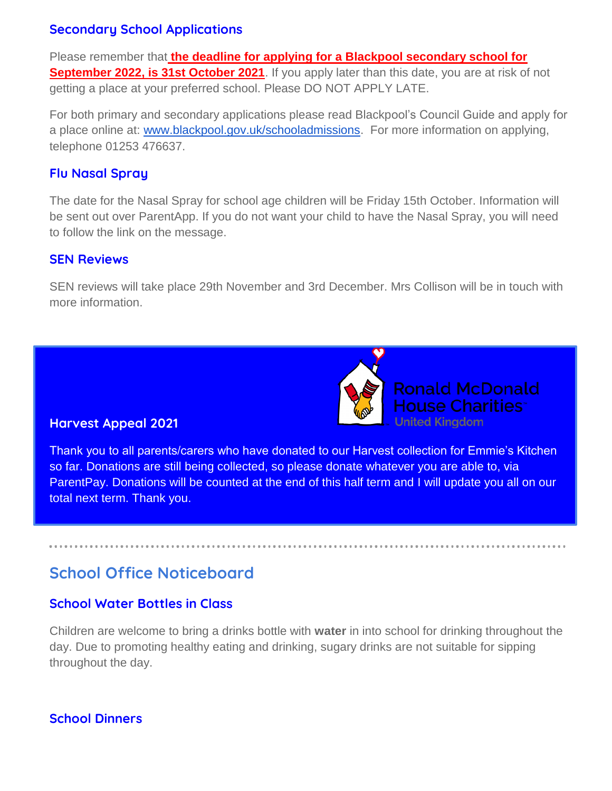#### **Secondary School Applications**

Please remember that **the deadline for applying for a Blackpool secondary school for September 2022, is 31st October 2021**. If you apply later than this date, you are at risk of not getting a place at your preferred school. Please DO NOT APPLY LATE.

For both primary and secondary applications please read Blackpool's Council Guide and apply for a place online at: [www.blackpool.gov.uk/schooladmissions.](http://www.blackpool.gov.uk/schooladmissions) For more information on applying, telephone 01253 476637.

#### **Flu Nasal Spray**

The date for the Nasal Spray for school age children will be Friday 15th October. Information will be sent out over ParentApp. If you do not want your child to have the Nasal Spray, you will need to follow the link on the message.

#### **SEN Reviews**

SEN reviews will take place 29th November and 3rd December. Mrs Collison will be in touch with more information.



#### **Harvest Appeal 2021**

Thank you to all parents/carers who have donated to our Harvest collection for Emmie's Kitchen so far. Donations are still being collected, so please donate whatever you are able to, via ParentPay. Donations will be counted at the end of this half term and I will update you all on our total next term. Thank you.

# **School Office Noticeboard**

## **School Water Bottles in Class**

Children are welcome to bring a drinks bottle with **water** in into school for drinking throughout the day. Due to promoting healthy eating and drinking, sugary drinks are not suitable for sipping throughout the day.

#### **School Dinners**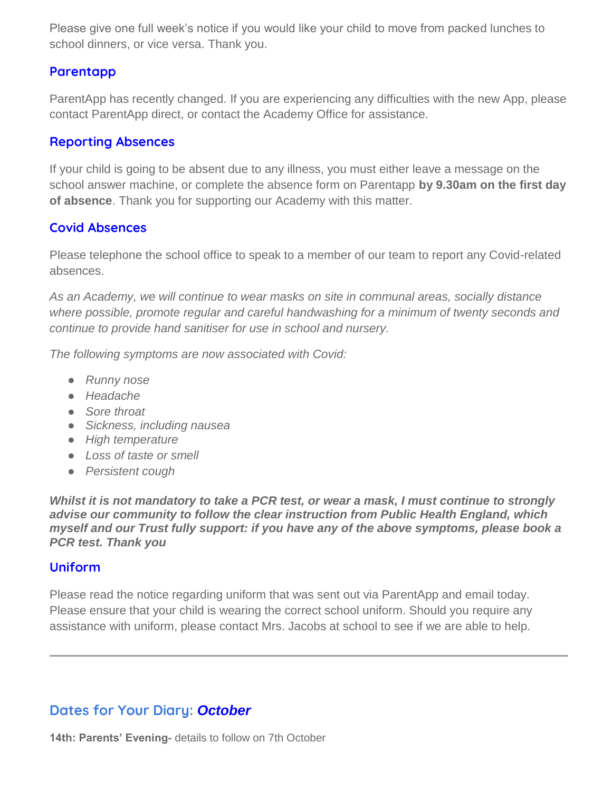Please give one full week's notice if you would like your child to move from packed lunches to school dinners, or vice versa. Thank you.

#### **Parentapp**

ParentApp has recently changed. If you are experiencing any difficulties with the new App, please contact ParentApp direct, or contact the Academy Office for assistance.

#### **Reporting Absences**

If your child is going to be absent due to any illness, you must either leave a message on the school answer machine, or complete the absence form on Parentapp **by 9.30am on the first day of absence**. Thank you for supporting our Academy with this matter.

#### **Covid Absences**

Please telephone the school office to speak to a member of our team to report any Covid-related absences.

*As an Academy, we will continue to wear masks on site in communal areas, socially distance where possible, promote regular and careful handwashing for a minimum of twenty seconds and continue to provide hand sanitiser for use in school and nursery.* 

*The following symptoms are now associated with Covid:*

- *Runny nose*
- *Headache*
- *Sore throat*
- *Sickness, including nausea*
- *High temperature*
- *Loss of taste or smell*
- *Persistent cough*

*Whilst it is not mandatory to take a PCR test, or wear a mask, I must continue to strongly advise our community to follow the clear instruction from Public Health England, which myself and our Trust fully support: if you have any of the above symptoms, please book a PCR test. Thank you*

#### **Uniform**

Please read the notice regarding uniform that was sent out via ParentApp and email today. Please ensure that your child is wearing the correct school uniform. Should you require any assistance with uniform, please contact Mrs. Jacobs at school to see if we are able to help.

## **Dates for Your Diary:** *October*

**14th: Parents' Evening-** details to follow on 7th October